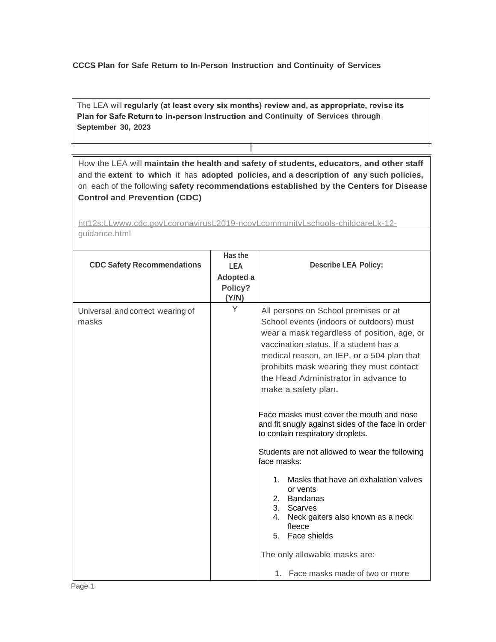## **CCCS Plan for Safe Return to In-Person Instruction and Continuity of Services**

The LEA will regularly (at least every six months) review and, as appropriate, revise its **Plan for Safe Return to In-person Instruction and Continuity of Services through September 30, 2023**

How the LEA will **maintain the health and safety of students, educators, and other staff**  and the **extent to which** it has **adopted policies, and a description of any such policies,**  on each of the following **safety recommendations established by the Centers for Disease Control and Prevention (CDC)**

[htt12s:LLwww.cdc.govLcoronavirusL2019-ncovLcommunitvLschools-childcareLk-12](http://www.cdc.govlcoronavirusl2019-ncovlcommunitvlschools-childcarelk-12-/) guidance.html

| <b>CDC Safety Recommendations</b>         | Has the<br><b>LEA</b><br>Adopted a<br>Policy?<br>(Y/N) | <b>Describe LEA Policy:</b>                                                                                                                                                                                                                                                                                                                                                                                                                                                                                                                                                                                                                                                                                                                                                             |
|-------------------------------------------|--------------------------------------------------------|-----------------------------------------------------------------------------------------------------------------------------------------------------------------------------------------------------------------------------------------------------------------------------------------------------------------------------------------------------------------------------------------------------------------------------------------------------------------------------------------------------------------------------------------------------------------------------------------------------------------------------------------------------------------------------------------------------------------------------------------------------------------------------------------|
| Universal and correct wearing of<br>masks | Y                                                      | All persons on School premises or at<br>School events (indoors or outdoors) must<br>wear a mask regardless of position, age, or<br>vaccination status. If a student has a<br>medical reason, an IEP, or a 504 plan that<br>prohibits mask wearing they must contact<br>the Head Administrator in advance to<br>make a safety plan.<br>Face masks must cover the mouth and nose<br>and fit snugly against sides of the face in order<br>to contain respiratory droplets.<br>Students are not allowed to wear the following<br>lface masks:<br>Masks that have an exhalation valves<br>1<br>or vents<br><b>Bandanas</b><br>2.<br>3. Scarves<br>4.<br>Neck gaiters also known as a neck<br>fleece<br>5. Face shields<br>The only allowable masks are:<br>1. Face masks made of two or more |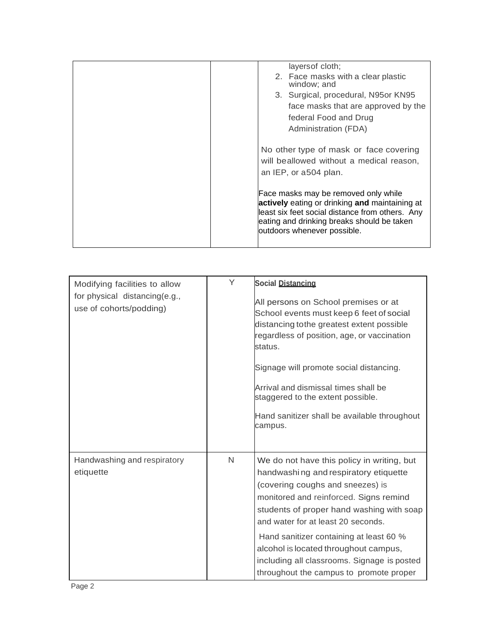|  | layers of cloth;                                                                                                                                                                                                       |
|--|------------------------------------------------------------------------------------------------------------------------------------------------------------------------------------------------------------------------|
|  | 2. Face masks with a clear plastic<br>window; and                                                                                                                                                                      |
|  | 3. Surgical, procedural, N95or KN95                                                                                                                                                                                    |
|  | face masks that are approved by the                                                                                                                                                                                    |
|  | federal Food and Drug                                                                                                                                                                                                  |
|  | Administration (FDA)                                                                                                                                                                                                   |
|  | No other type of mask or face covering<br>will beallowed without a medical reason,<br>an IEP, or a504 plan.                                                                                                            |
|  | Face masks may be removed only while<br>actively eating or drinking and maintaining at<br>least six feet social distance from others. Any<br>eating and drinking breaks should be taken<br>outdoors whenever possible. |
|  |                                                                                                                                                                                                                        |

| Modifying facilities to allow<br>for physical distancing(e.g.,<br>use of cohorts/podding) | Y | <b>Social Distancing</b><br>All persons on School premises or at<br>School events must keep 6 feet of social<br>distancing tothe greatest extent possible<br>regardless of position, age, or vaccination<br>status.<br>Signage will promote social distancing.<br>Arrival and dismissal times shall be<br>staggered to the extent possible.<br>Hand sanitizer shall be available throughout<br>campus.                             |
|-------------------------------------------------------------------------------------------|---|------------------------------------------------------------------------------------------------------------------------------------------------------------------------------------------------------------------------------------------------------------------------------------------------------------------------------------------------------------------------------------------------------------------------------------|
| Handwashing and respiratory<br>etiquette                                                  | N | We do not have this policy in writing, but<br>handwashing and respiratory etiquette<br>(covering coughs and sneezes) is<br>monitored and reinforced. Signs remind<br>students of proper hand washing with soap<br>and water for at least 20 seconds.<br>Hand sanitizer containing at least 60 %<br>alcohol is located throughout campus,<br>including all classrooms. Signage is posted<br>throughout the campus to promote proper |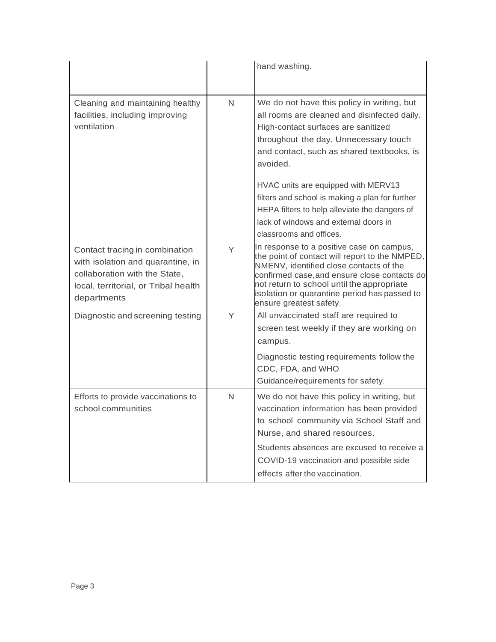|                                                                                                                                                             |   | hand washing.                                                                                                                                                                                                                                                                                                   |
|-------------------------------------------------------------------------------------------------------------------------------------------------------------|---|-----------------------------------------------------------------------------------------------------------------------------------------------------------------------------------------------------------------------------------------------------------------------------------------------------------------|
| Cleaning and maintaining healthy<br>facilities, including improving<br>ventilation                                                                          | N | We do not have this policy in writing, but<br>all rooms are cleaned and disinfected daily.<br>High-contact surfaces are sanitized<br>throughout the day. Unnecessary touch<br>and contact, such as shared textbooks, is<br>avoided.                                                                             |
|                                                                                                                                                             |   | HVAC units are equipped with MERV13<br>filters and school is making a plan for further<br>HEPA filters to help alleviate the dangers of<br>lack of windows and external doors in<br>classrooms and offices.                                                                                                     |
| Contact tracing in combination<br>with isolation and quarantine, in<br>collaboration with the State.<br>local, territorial, or Tribal health<br>departments | Y | In response to a positive case on campus,<br>the point of contact will report to the NMPED,<br>NMENV, identified close contacts of the<br>confirmed case, and ensure close contacts do<br>not return to school until the appropriate<br>isolation or quarantine period has passed to<br>ensure greatest safety. |
| Diagnostic and screening testing                                                                                                                            | Y | All unvaccinated staff are required to<br>screen test weekly if they are working on<br>campus.<br>Diagnostic testing requirements follow the<br>CDC, FDA, and WHO<br>Guidance/requirements for safety.                                                                                                          |
| Efforts to provide vaccinations to<br>school communities                                                                                                    | N | We do not have this policy in writing, but<br>vaccination information has been provided<br>to school community via School Staff and<br>Nurse, and shared resources.<br>Students absences are excused to receive a<br>COVID-19 vaccination and possible side<br>effects after the vaccination.                   |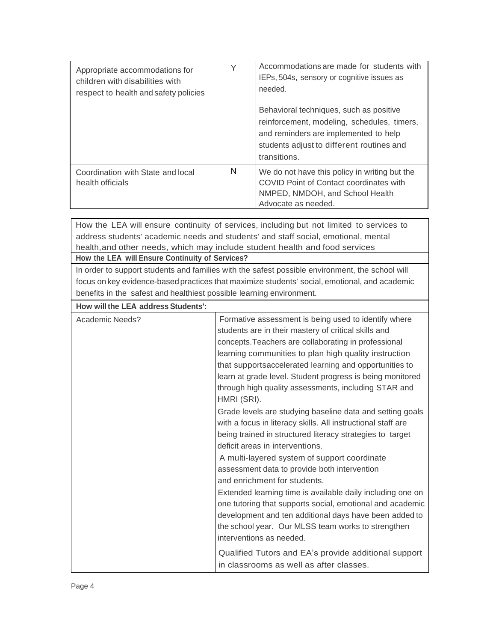| Appropriate accommodations for<br>children with disabilities with<br>respect to health and safety policies | Y | Accommodations are made for students with<br>IEPs, 504s, sensory or cognitive issues as<br>needed.                                                                                           |
|------------------------------------------------------------------------------------------------------------|---|----------------------------------------------------------------------------------------------------------------------------------------------------------------------------------------------|
|                                                                                                            |   | Behavioral techniques, such as positive<br>reinforcement, modeling, schedules, timers,<br>and reminders are implemented to help<br>students adjust to different routines and<br>transitions. |
| Coordination with State and local<br>health officials                                                      | N | We do not have this policy in writing but the<br>COVID Point of Contact coordinates with<br>NMPED, NMDOH, and School Health<br>Advocate as needed.                                           |

How the LEA will ensure continuity of services, including but not limited to services to address students' academic needs and students' and staff social, emotional, mental health,and other needs, which may include student health and food services **How the LEA will Ensure Continuity of Services?** In order to support students and families with the safest possible environment, the school will focus on key evidence-based practices that maximize students' social, emotional, and academic benefits in the safest and healthiest possible learning environment. **How willthe LEA address Students':** Academic Needs? **Formative assessment is being used to identify where Formative assessment is being used to identify where** students are in their mastery of critical skills and concepts.Teachers are collaborating in professional learning communities to plan high quality instruction that supportsaccelerated learning and opportunities to learn at grade level. Student progress is being monitored through high quality assessments, including STAR and HMRI (SRI). Grade levels are studying baseline data and setting goals with a focus in literacy skills. All instructional staff are being trained in structured literacy strategies to target deficit areas in interventions. A multi-layered system of support coordinate assessment data to provide both intervention and enrichment for students. Extended learning time is available daily including one on one tutoring that supports social, emotional and academic development and ten additional days have been added to the school year. Our MLSS team works to strengthen interventions as needed. Qualified Tutors and EA's provide additional support in classrooms as well as after classes.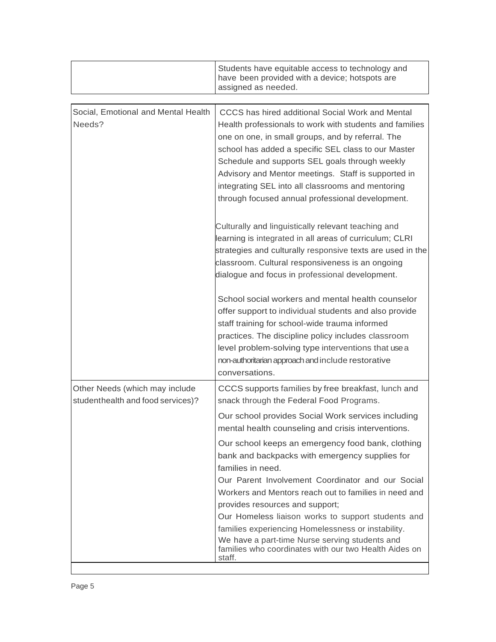|                                                                     | Students have equitable access to technology and<br>have been provided with a device; hotspots are<br>assigned as needed.                                                                                                                                                                                                                                                                                                                                                                                                                                        |
|---------------------------------------------------------------------|------------------------------------------------------------------------------------------------------------------------------------------------------------------------------------------------------------------------------------------------------------------------------------------------------------------------------------------------------------------------------------------------------------------------------------------------------------------------------------------------------------------------------------------------------------------|
|                                                                     |                                                                                                                                                                                                                                                                                                                                                                                                                                                                                                                                                                  |
| Social, Emotional and Mental Health<br>Needs?                       | CCCS has hired additional Social Work and Mental<br>Health professionals to work with students and families<br>one on one, in small groups, and by referral. The<br>school has added a specific SEL class to our Master<br>Schedule and supports SEL goals through weekly<br>Advisory and Mentor meetings. Staff is supported in<br>integrating SEL into all classrooms and mentoring<br>through focused annual professional development.                                                                                                                        |
|                                                                     | Culturally and linguistically relevant teaching and<br>learning is integrated in all areas of curriculum; CLRI<br>strategies and culturally responsive texts are used in the<br>classroom. Cultural responsiveness is an ongoing<br>dialogue and focus in professional development.                                                                                                                                                                                                                                                                              |
|                                                                     | School social workers and mental health counselor<br>offer support to individual students and also provide<br>staff training for school-wide trauma informed<br>practices. The discipline policy includes classroom<br>level problem-solving type interventions that use a<br>non-authoritarian approach and include restorative<br>conversations.                                                                                                                                                                                                               |
| Other Needs (which may include<br>studenthealth and food services)? | CCCS supports families by free breakfast, lunch and<br>snack through the Federal Food Programs.<br>Our school provides Social Work services including                                                                                                                                                                                                                                                                                                                                                                                                            |
|                                                                     | mental health counseling and crisis interventions.<br>Our school keeps an emergency food bank, clothing<br>bank and backpacks with emergency supplies for<br>families in need.<br>Our Parent Involvement Coordinator and our Social<br>Workers and Mentors reach out to families in need and<br>provides resources and support;<br>Our Homeless liaison works to support students and<br>families experiencing Homelessness or instability.<br>We have a part-time Nurse serving students and<br>families who coordinates with our two Health Aides on<br>staff. |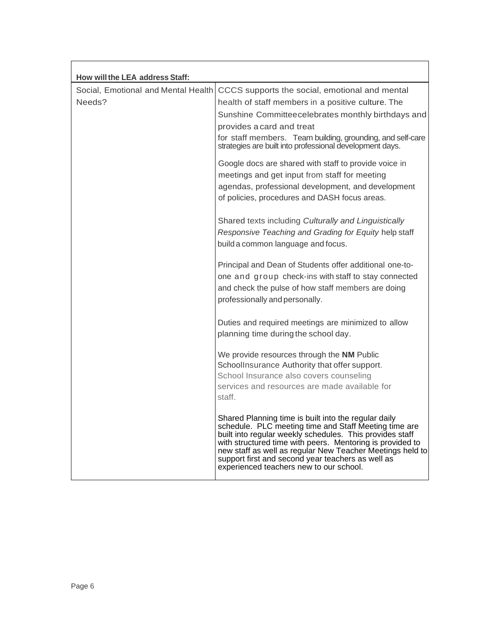| How will the LEA address Staff:               |                                                                                                                                                                                                                                                                                                                                                                                                     |
|-----------------------------------------------|-----------------------------------------------------------------------------------------------------------------------------------------------------------------------------------------------------------------------------------------------------------------------------------------------------------------------------------------------------------------------------------------------------|
| Social, Emotional and Mental Health<br>Needs? | CCCS supports the social, emotional and mental<br>health of staff members in a positive culture. The<br>Sunshine Committeecelebrates monthly birthdays and<br>provides a card and treat<br>for staff members. Team building, grounding, and self-care<br>strategies are built into professional development days.                                                                                   |
|                                               | Google docs are shared with staff to provide voice in<br>meetings and get input from staff for meeting<br>agendas, professional development, and development<br>of policies, procedures and DASH focus areas.                                                                                                                                                                                       |
|                                               | Shared texts including Culturally and Linguistically<br>Responsive Teaching and Grading for Equity help staff<br>build a common language and focus.                                                                                                                                                                                                                                                 |
|                                               | Principal and Dean of Students offer additional one-to-<br>one and group check-ins with staff to stay connected<br>and check the pulse of how staff members are doing<br>professionally and personally.                                                                                                                                                                                             |
|                                               | Duties and required meetings are minimized to allow<br>planning time during the school day.                                                                                                                                                                                                                                                                                                         |
|                                               | We provide resources through the NM Public<br>SchoolInsurance Authority that offer support.<br>School Insurance also covers counseling<br>services and resources are made available for<br>staff.                                                                                                                                                                                                   |
|                                               | Shared Planning time is built into the regular daily<br>schedule. PLC meeting time and Staff Meeting time are<br>built into regular weekly schedules. This provides staff<br>with structured time with peers. Mentoring is provided to<br>new staff as well as regular New Teacher Meetings held to<br>support first and second year teachers as well as<br>experienced teachers new to our school. |